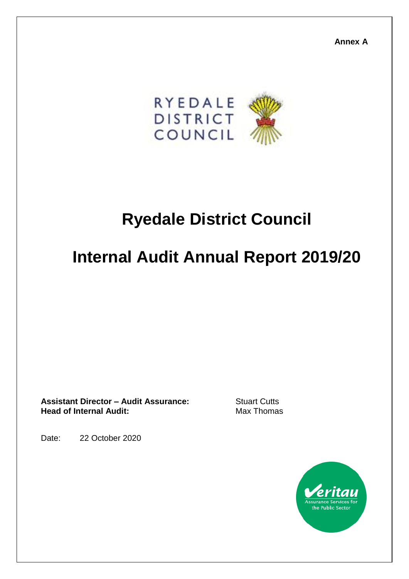**Annex A**



## **Ryedale District Council**

# **Internal Audit Annual Report 2019/20**

**Assistant Director – Audit Assurance:** Stuart Cutts **Head of Internal Audit:** Max Thomas

Date: 22 October 2020

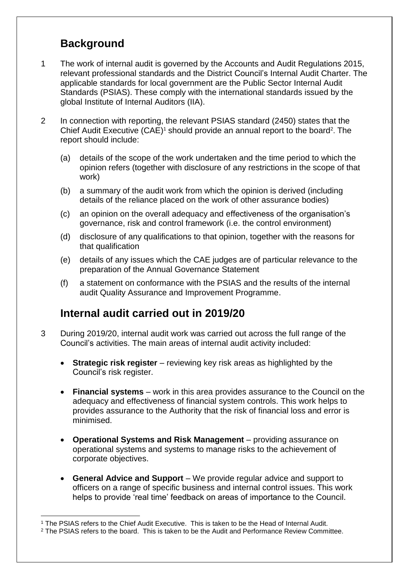## **Background**

- 1 The work of internal audit is governed by the Accounts and Audit Regulations 2015, relevant professional standards and the District Council's Internal Audit Charter. The applicable standards for local government are the Public Sector Internal Audit Standards (PSIAS). These comply with the international standards issued by the global Institute of Internal Auditors (IIA).
- 2 In connection with reporting, the relevant PSIAS standard (2450) states that the Chief Audit Executive  $(CAE)^1$  should provide an annual report to the board<sup>2</sup>. The report should include:
	- (a) details of the scope of the work undertaken and the time period to which the opinion refers (together with disclosure of any restrictions in the scope of that work)
	- (b) a summary of the audit work from which the opinion is derived (including details of the reliance placed on the work of other assurance bodies)
	- (c) an opinion on the overall adequacy and effectiveness of the organisation's governance, risk and control framework (i.e. the control environment)
	- (d) disclosure of any qualifications to that opinion, together with the reasons for that qualification
	- (e) details of any issues which the CAE judges are of particular relevance to the preparation of the Annual Governance Statement
	- (f) a statement on conformance with the PSIAS and the results of the internal audit Quality Assurance and Improvement Programme.

## **Internal audit carried out in 2019/20**

- 3 During 2019/20, internal audit work was carried out across the full range of the Council's activities. The main areas of internal audit activity included:
	- **Strategic risk register** reviewing key risk areas as highlighted by the Council's risk register.
	- **Financial systems** work in this area provides assurance to the Council on the adequacy and effectiveness of financial system controls. This work helps to provides assurance to the Authority that the risk of financial loss and error is minimised.
	- **Operational Systems and Risk Management** providing assurance on operational systems and systems to manage risks to the achievement of corporate objectives.
	- **General Advice and Support** We provide regular advice and support to officers on a range of specific business and internal control issues. This work helps to provide 'real time' feedback on areas of importance to the Council.

 $\overline{a}$ <sup>1</sup> The PSIAS refers to the Chief Audit Executive. This is taken to be the Head of Internal Audit.

<sup>&</sup>lt;sup>2</sup> The PSIAS refers to the board. This is taken to be the Audit and Performance Review Committee.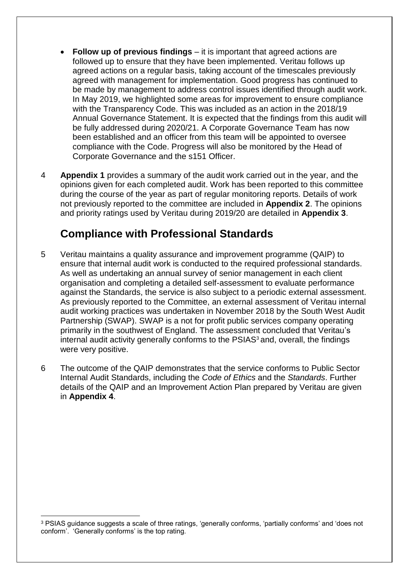- **Follow up of previous findings** it is important that agreed actions are followed up to ensure that they have been implemented. Veritau follows up agreed actions on a regular basis, taking account of the timescales previously agreed with management for implementation. Good progress has continued to be made by management to address control issues identified through audit work. In May 2019, we highlighted some areas for improvement to ensure compliance with the Transparency Code. This was included as an action in the 2018/19 Annual Governance Statement. It is expected that the findings from this audit will be fully addressed during 2020/21. A Corporate Governance Team has now been established and an officer from this team will be appointed to oversee compliance with the Code. Progress will also be monitored by the Head of Corporate Governance and the s151 Officer.
- 4 **Appendix 1** provides a summary of the audit work carried out in the year, and the opinions given for each completed audit. Work has been reported to this committee during the course of the year as part of regular monitoring reports. Details of work not previously reported to the committee are included in **Appendix 2**. The opinions and priority ratings used by Veritau during 2019/20 are detailed in **Appendix 3**.

## **Compliance with Professional Standards**

- 5 Veritau maintains a quality assurance and improvement programme (QAIP) to ensure that internal audit work is conducted to the required professional standards. As well as undertaking an annual survey of senior management in each client organisation and completing a detailed self-assessment to evaluate performance against the Standards, the service is also subject to a periodic external assessment. As previously reported to the Committee, an external assessment of Veritau internal audit working practices was undertaken in November 2018 by the South West Audit Partnership (SWAP). SWAP is a not for profit public services company operating primarily in the southwest of England. The assessment concluded that Veritau's internal audit activity generally conforms to the PSIAS<sup>3</sup> and, overall, the findings were very positive.
- 6 The outcome of the QAIP demonstrates that the service conforms to Public Sector Internal Audit Standards, including the *Code of Ethics* and the *Standards*. Further details of the QAIP and an Improvement Action Plan prepared by Veritau are given in **Appendix 4**.

 $\overline{a}$ 

<sup>3</sup> PSIAS guidance suggests a scale of three ratings, 'generally conforms, 'partially conforms' and 'does not conform'. 'Generally conforms' is the top rating.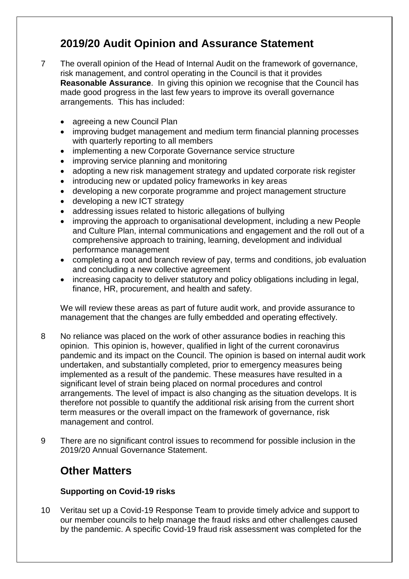## **2019/20 Audit Opinion and Assurance Statement**

- 7 The overall opinion of the Head of Internal Audit on the framework of governance, risk management, and control operating in the Council is that it provides **Reasonable Assurance**. In giving this opinion we recognise that the Council has made good progress in the last few years to improve its overall governance arrangements. This has included:
	- agreeing a new Council Plan
	- improving budget management and medium term financial planning processes with quarterly reporting to all members
	- implementing a new Corporate Governance service structure
	- improving service planning and monitoring
	- adopting a new risk management strategy and updated corporate risk register
	- introducing new or updated policy frameworks in key areas
	- developing a new corporate programme and project management structure
	- developing a new ICT strategy
	- addressing issues related to historic allegations of bullying
	- improving the approach to organisational development, including a new People and Culture Plan, internal communications and engagement and the roll out of a comprehensive approach to training, learning, development and individual performance management
	- completing a root and branch review of pay, terms and conditions, job evaluation and concluding a new collective agreement
	- increasing capacity to deliver statutory and policy obligations including in legal, finance, HR, procurement, and health and safety.

We will review these areas as part of future audit work, and provide assurance to management that the changes are fully embedded and operating effectively.

- 8 No reliance was placed on the work of other assurance bodies in reaching this opinion. This opinion is, however, qualified in light of the current coronavirus pandemic and its impact on the Council. The opinion is based on internal audit work undertaken, and substantially completed, prior to emergency measures being implemented as a result of the pandemic. These measures have resulted in a significant level of strain being placed on normal procedures and control arrangements. The level of impact is also changing as the situation develops. It is therefore not possible to quantify the additional risk arising from the current short term measures or the overall impact on the framework of governance, risk management and control.
- 9 There are no significant control issues to recommend for possible inclusion in the 2019/20 Annual Governance Statement.

## **Other Matters**

#### **Supporting on Covid-19 risks**

10 Veritau set up a Covid-19 Response Team to provide timely advice and support to our member councils to help manage the fraud risks and other challenges caused by the pandemic. A specific Covid-19 fraud risk assessment was completed for the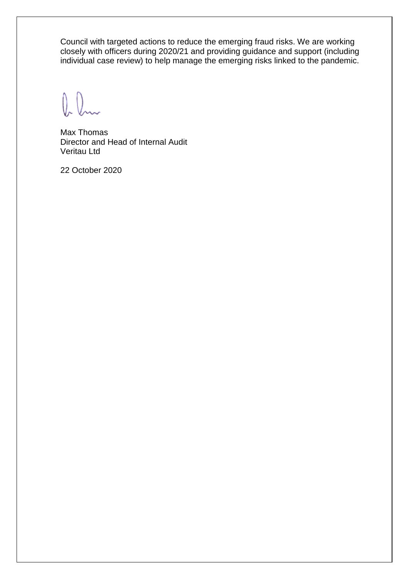Council with targeted actions to reduce the emerging fraud risks. We are working closely with officers during 2020/21 and providing guidance and support (including individual case review) to help manage the emerging risks linked to the pandemic.

 $\int_{\gamma}$ 

Max Thomas Director and Head of Internal Audit Veritau Ltd

22 October 2020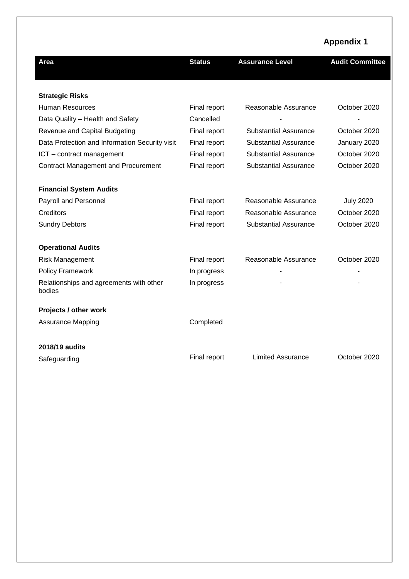|                                                   |               |                              | <b>Appendix 1</b>      |
|---------------------------------------------------|---------------|------------------------------|------------------------|
| Area                                              | <b>Status</b> | <b>Assurance Level</b>       | <b>Audit Committee</b> |
|                                                   |               |                              |                        |
| <b>Strategic Risks</b>                            |               |                              |                        |
| <b>Human Resources</b>                            | Final report  | Reasonable Assurance         | October 2020           |
| Data Quality - Health and Safety                  | Cancelled     |                              |                        |
| Revenue and Capital Budgeting                     | Final report  | <b>Substantial Assurance</b> | October 2020           |
| Data Protection and Information Security visit    | Final report  | <b>Substantial Assurance</b> | January 2020           |
| ICT - contract management                         | Final report  | <b>Substantial Assurance</b> | October 2020           |
| <b>Contract Management and Procurement</b>        | Final report  | <b>Substantial Assurance</b> | October 2020           |
|                                                   |               |                              |                        |
| <b>Financial System Audits</b>                    |               |                              |                        |
| Payroll and Personnel                             | Final report  | Reasonable Assurance         | <b>July 2020</b>       |
| Creditors                                         | Final report  | Reasonable Assurance         | October 2020           |
| <b>Sundry Debtors</b>                             | Final report  | <b>Substantial Assurance</b> | October 2020           |
| <b>Operational Audits</b>                         |               |                              |                        |
| <b>Risk Management</b>                            | Final report  | Reasonable Assurance         | October 2020           |
| <b>Policy Framework</b>                           | In progress   |                              | ۰                      |
| Relationships and agreements with other<br>bodies | In progress   |                              |                        |
| Projects / other work                             |               |                              |                        |
| Assurance Mapping                                 | Completed     |                              |                        |
| 2018/19 audits                                    |               |                              |                        |
| Safeguarding                                      | Final report  | <b>Limited Assurance</b>     | October 2020           |
|                                                   |               |                              |                        |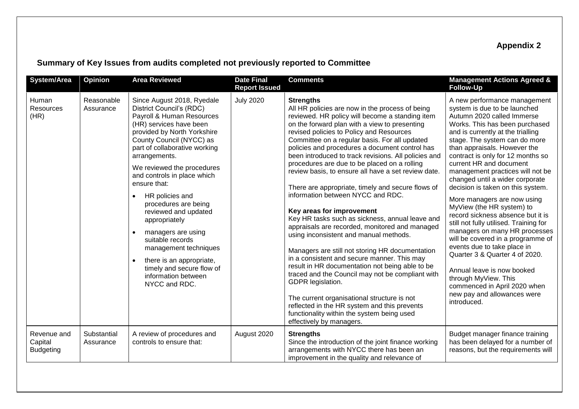## **Appendix 2**

## **Summary of Key Issues from audits completed not previously reported to Committee**

| <b>System/Area</b>                         | Opinion                  | <b>Area Reviewed</b>                                                                                                                                                                                                                                                                                                                                                                                                                                                                                                                                             | <b>Date Final</b><br><b>Report Issued</b> | <b>Comments</b>                                                                                                                                                                                                                                                                                                                                                                                                                                                                                                                                                                                                                                                                                                                                                                                                                                                                                                                                                                                                                                                                                                                                                    | <b>Management Actions Agreed &amp;</b><br><b>Follow-Up</b>                                                                                                                                                                                                                                                                                                                                                                                                                                                                                                                                                                                                                                                                                                                                                                           |
|--------------------------------------------|--------------------------|------------------------------------------------------------------------------------------------------------------------------------------------------------------------------------------------------------------------------------------------------------------------------------------------------------------------------------------------------------------------------------------------------------------------------------------------------------------------------------------------------------------------------------------------------------------|-------------------------------------------|--------------------------------------------------------------------------------------------------------------------------------------------------------------------------------------------------------------------------------------------------------------------------------------------------------------------------------------------------------------------------------------------------------------------------------------------------------------------------------------------------------------------------------------------------------------------------------------------------------------------------------------------------------------------------------------------------------------------------------------------------------------------------------------------------------------------------------------------------------------------------------------------------------------------------------------------------------------------------------------------------------------------------------------------------------------------------------------------------------------------------------------------------------------------|--------------------------------------------------------------------------------------------------------------------------------------------------------------------------------------------------------------------------------------------------------------------------------------------------------------------------------------------------------------------------------------------------------------------------------------------------------------------------------------------------------------------------------------------------------------------------------------------------------------------------------------------------------------------------------------------------------------------------------------------------------------------------------------------------------------------------------------|
| Human<br><b>Resources</b><br>(HR)          | Reasonable<br>Assurance  | Since August 2018, Ryedale<br>District Council's (RDC)<br>Payroll & Human Resources<br>(HR) services have been<br>provided by North Yorkshire<br>County Council (NYCC) as<br>part of collaborative working<br>arrangements.<br>We reviewed the procedures<br>and controls in place which<br>ensure that:<br>HR policies and<br>procedures are being<br>reviewed and updated<br>appropriately<br>managers are using<br>suitable records<br>management techniques<br>there is an appropriate,<br>timely and secure flow of<br>information between<br>NYCC and RDC. | <b>July 2020</b>                          | <b>Strengths</b><br>All HR policies are now in the process of being<br>reviewed. HR policy will become a standing item<br>on the forward plan with a view to presenting<br>revised policies to Policy and Resources<br>Committee on a regular basis. For all updated<br>policies and procedures a document control has<br>been introduced to track revisions. All policies and<br>procedures are due to be placed on a rolling<br>review basis, to ensure all have a set review date.<br>There are appropriate, timely and secure flows of<br>information between NYCC and RDC.<br>Key areas for improvement<br>Key HR tasks such as sickness, annual leave and<br>appraisals are recorded, monitored and managed<br>using inconsistent and manual methods.<br>Managers are still not storing HR documentation<br>in a consistent and secure manner. This may<br>result in HR documentation not being able to be<br>traced and the Council may not be compliant with<br>GDPR legislation.<br>The current organisational structure is not<br>reflected in the HR system and this prevents<br>functionality within the system being used<br>effectively by managers. | A new performance management<br>system is due to be launched<br>Autumn 2020 called Immerse<br>Works. This has been purchased<br>and is currently at the trialling<br>stage. The system can do more<br>than appraisals. However the<br>contract is only for 12 months so<br>current HR and document<br>management practices will not be<br>changed until a wider corporate<br>decision is taken on this system.<br>More managers are now using<br>MyView (the HR system) to<br>record sickness absence but it is<br>still not fully utilised. Training for<br>managers on many HR processes<br>will be covered in a programme of<br>events due to take place in<br>Quarter 3 & Quarter 4 of 2020.<br>Annual leave is now booked<br>through MyView. This<br>commenced in April 2020 when<br>new pay and allowances were<br>introduced. |
| Revenue and<br>Capital<br><b>Budgeting</b> | Substantial<br>Assurance | A review of procedures and<br>controls to ensure that:                                                                                                                                                                                                                                                                                                                                                                                                                                                                                                           | August 2020                               | <b>Strengths</b><br>Since the introduction of the joint finance working<br>arrangements with NYCC there has been an<br>improvement in the quality and relevance of                                                                                                                                                                                                                                                                                                                                                                                                                                                                                                                                                                                                                                                                                                                                                                                                                                                                                                                                                                                                 | Budget manager finance training<br>has been delayed for a number of<br>reasons, but the requirements will                                                                                                                                                                                                                                                                                                                                                                                                                                                                                                                                                                                                                                                                                                                            |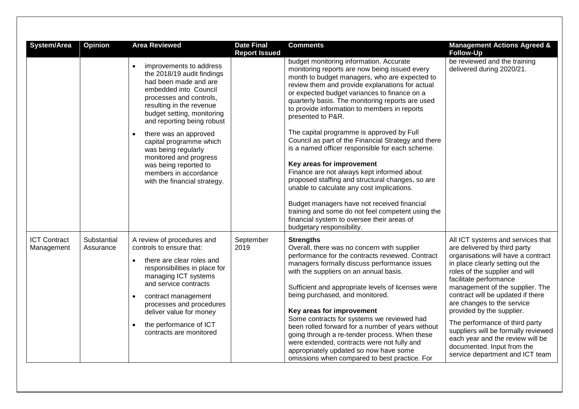| System/Area                       | Opinion                  | <b>Area Reviewed</b>                                                                                                                                                                                                                                                                                                                                                                                                           | <b>Date Final</b><br><b>Report Issued</b> | <b>Comments</b>                                                                                                                                                                                                                                                                                                                                                                                                                                                                                                                                                                                                                                                                                                                                                                                               | <b>Management Actions Agreed &amp;</b><br><b>Follow-Up</b>                                                                                                                                                                                                                                                                                                                                                                                                                                                               |
|-----------------------------------|--------------------------|--------------------------------------------------------------------------------------------------------------------------------------------------------------------------------------------------------------------------------------------------------------------------------------------------------------------------------------------------------------------------------------------------------------------------------|-------------------------------------------|---------------------------------------------------------------------------------------------------------------------------------------------------------------------------------------------------------------------------------------------------------------------------------------------------------------------------------------------------------------------------------------------------------------------------------------------------------------------------------------------------------------------------------------------------------------------------------------------------------------------------------------------------------------------------------------------------------------------------------------------------------------------------------------------------------------|--------------------------------------------------------------------------------------------------------------------------------------------------------------------------------------------------------------------------------------------------------------------------------------------------------------------------------------------------------------------------------------------------------------------------------------------------------------------------------------------------------------------------|
|                                   |                          | improvements to address<br>the 2018/19 audit findings<br>had been made and are<br>embedded into Council<br>processes and controls,<br>resulting in the revenue<br>budget setting, monitoring<br>and reporting being robust<br>there was an approved<br>$\bullet$<br>capital programme which<br>was being regularly<br>monitored and progress<br>was being reported to<br>members in accordance<br>with the financial strategy. |                                           | budget monitoring information. Accurate<br>monitoring reports are now being issued every<br>month to budget managers, who are expected to<br>review them and provide explanations for actual<br>or expected budget variances to finance on a<br>quarterly basis. The monitoring reports are used<br>to provide information to members in reports<br>presented to P&R.<br>The capital programme is approved by Full<br>Council as part of the Financial Strategy and there<br>is a named officer responsible for each scheme.<br>Key areas for improvement<br>Finance are not always kept informed about<br>proposed staffing and structural changes, so are<br>unable to calculate any cost implications.<br>Budget managers have not received financial<br>training and some do not feel competent using the | be reviewed and the training<br>delivered during 2020/21.                                                                                                                                                                                                                                                                                                                                                                                                                                                                |
|                                   |                          |                                                                                                                                                                                                                                                                                                                                                                                                                                |                                           | financial system to oversee their areas of<br>budgetary responsibility.                                                                                                                                                                                                                                                                                                                                                                                                                                                                                                                                                                                                                                                                                                                                       |                                                                                                                                                                                                                                                                                                                                                                                                                                                                                                                          |
| <b>ICT Contract</b><br>Management | Substantial<br>Assurance | A review of procedures and<br>controls to ensure that:<br>there are clear roles and<br>responsibilities in place for<br>managing ICT systems<br>and service contracts<br>contract management<br>$\bullet$<br>processes and procedures<br>deliver value for money<br>the performance of ICT<br>contracts are monitored                                                                                                          | September<br>2019                         | <b>Strengths</b><br>Overall, there was no concern with supplier<br>performance for the contracts reviewed. Contract<br>managers formally discuss performance issues<br>with the suppliers on an annual basis.<br>Sufficient and appropriate levels of licenses were<br>being purchased, and monitored.<br>Key areas for improvement<br>Some contracts for systems we reviewed had<br>been rolled forward for a number of years without<br>going through a re-tender process. When these<br>were extended, contracts were not fully and<br>appropriately updated so now have some<br>omissions when compared to best practice. For                                                                                                                                                                             | All ICT systems and services that<br>are delivered by third party<br>organisations will have a contract<br>in place clearly setting out the<br>roles of the supplier and will<br>facilitate performance<br>management of the supplier. The<br>contract will be updated if there<br>are changes to the service<br>provided by the supplier.<br>The performance of third party<br>suppliers will be formally reviewed<br>each year and the review will be<br>documented. Input from the<br>service department and ICT team |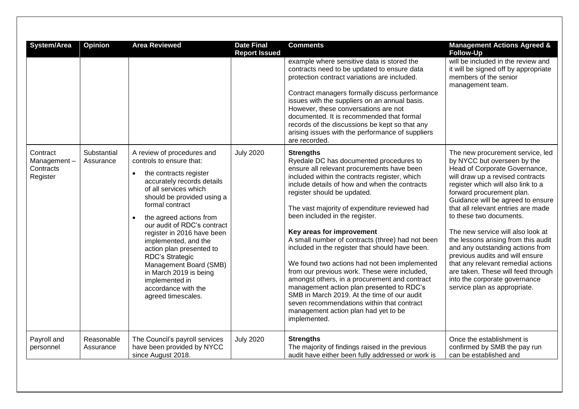| <b>System/Area</b>                               | Opinion                  | <b>Area Reviewed</b>                                                                                                                                                                                                                                                                                                                                                                                                                                                                                 | <b>Date Final</b><br><b>Report Issued</b> | <b>Comments</b>                                                                                                                                                                                                                                                                                                                                                                                                                                                                                                                                                                                                                                                                                                                                                                                                       | <b>Management Actions Agreed &amp;</b><br><b>Follow-Up</b>                                                                                                                                                                                                                                                                                                                                                                                                                                                                                                                                                    |
|--------------------------------------------------|--------------------------|------------------------------------------------------------------------------------------------------------------------------------------------------------------------------------------------------------------------------------------------------------------------------------------------------------------------------------------------------------------------------------------------------------------------------------------------------------------------------------------------------|-------------------------------------------|-----------------------------------------------------------------------------------------------------------------------------------------------------------------------------------------------------------------------------------------------------------------------------------------------------------------------------------------------------------------------------------------------------------------------------------------------------------------------------------------------------------------------------------------------------------------------------------------------------------------------------------------------------------------------------------------------------------------------------------------------------------------------------------------------------------------------|---------------------------------------------------------------------------------------------------------------------------------------------------------------------------------------------------------------------------------------------------------------------------------------------------------------------------------------------------------------------------------------------------------------------------------------------------------------------------------------------------------------------------------------------------------------------------------------------------------------|
|                                                  |                          |                                                                                                                                                                                                                                                                                                                                                                                                                                                                                                      |                                           | example where sensitive data is stored the<br>contracts need to be updated to ensure data<br>protection contract variations are included.<br>Contract managers formally discuss performance<br>issues with the suppliers on an annual basis.<br>However, these conversations are not<br>documented. It is recommended that formal<br>records of the discussions be kept so that any<br>arising issues with the performance of suppliers<br>are recorded.                                                                                                                                                                                                                                                                                                                                                              | will be included in the review and<br>it will be signed off by appropriate<br>members of the senior<br>management team.                                                                                                                                                                                                                                                                                                                                                                                                                                                                                       |
| Contract<br>Management-<br>Contracts<br>Register | Substantial<br>Assurance | A review of procedures and<br>controls to ensure that:<br>the contracts register<br>$\bullet$<br>accurately records details<br>of all services which<br>should be provided using a<br>formal contract<br>the agreed actions from<br>$\bullet$<br>our audit of RDC's contract<br>register in 2016 have been<br>implemented, and the<br>action plan presented to<br>RDC's Strategic<br>Management Board (SMB)<br>in March 2019 is being<br>implemented in<br>accordance with the<br>agreed timescales. | <b>July 2020</b>                          | <b>Strengths</b><br>Ryedale DC has documented procedures to<br>ensure all relevant procurements have been<br>included within the contracts register, which<br>include details of how and when the contracts<br>register should be updated.<br>The vast majority of expenditure reviewed had<br>been included in the register.<br>Key areas for improvement<br>A small number of contracts (three) had not been<br>included in the register that should have been.<br>We found two actions had not been implemented<br>from our previous work. These were included,<br>amongst others, in a procurement and contract<br>management action plan presented to RDC's<br>SMB in March 2019. At the time of our audit<br>seven recommendations within that contract<br>management action plan had yet to be<br>implemented. | The new procurement service, led<br>by NYCC but overseen by the<br>Head of Corporate Governance,<br>will draw up a revised contracts<br>register which will also link to a<br>forward procurement plan.<br>Guidance will be agreed to ensure<br>that all relevant entries are made<br>to these two documents.<br>The new service will also look at<br>the lessons arising from this audit<br>and any outstanding actions from<br>previous audits and will ensure<br>that any relevant remedial actions<br>are taken. These will feed through<br>into the corporate governance<br>service plan as appropriate. |
| Payroll and<br>personnel                         | Reasonable<br>Assurance  | The Council's payroll services<br>have been provided by NYCC<br>since August 2018.                                                                                                                                                                                                                                                                                                                                                                                                                   | <b>July 2020</b>                          | <b>Strengths</b><br>The majority of findings raised in the previous<br>audit have either been fully addressed or work is                                                                                                                                                                                                                                                                                                                                                                                                                                                                                                                                                                                                                                                                                              | Once the establishment is<br>confirmed by SMB the pay run<br>can be established and                                                                                                                                                                                                                                                                                                                                                                                                                                                                                                                           |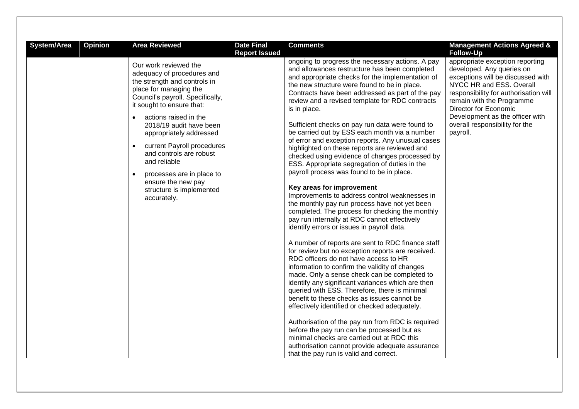| System/Area | Opinion | <b>Area Reviewed</b>                                                                                                                                                                                                                                                                                                                                                                                                                                                        | <b>Date Final</b><br><b>Report Issued</b> | <b>Comments</b>                                                                                                                                                                                                                                                                                                                                                                                                                                                                                                                                                                                                                                                                                                                                                                                                                                                                                                                                                                                                                                                                                                                                                                                                                                                                                                                                                                                                                                                                                                                                                                                                                                                                 | <b>Management Actions Agreed &amp;</b><br><b>Follow-Up</b>                                                                                                                                                                                                                                                    |
|-------------|---------|-----------------------------------------------------------------------------------------------------------------------------------------------------------------------------------------------------------------------------------------------------------------------------------------------------------------------------------------------------------------------------------------------------------------------------------------------------------------------------|-------------------------------------------|---------------------------------------------------------------------------------------------------------------------------------------------------------------------------------------------------------------------------------------------------------------------------------------------------------------------------------------------------------------------------------------------------------------------------------------------------------------------------------------------------------------------------------------------------------------------------------------------------------------------------------------------------------------------------------------------------------------------------------------------------------------------------------------------------------------------------------------------------------------------------------------------------------------------------------------------------------------------------------------------------------------------------------------------------------------------------------------------------------------------------------------------------------------------------------------------------------------------------------------------------------------------------------------------------------------------------------------------------------------------------------------------------------------------------------------------------------------------------------------------------------------------------------------------------------------------------------------------------------------------------------------------------------------------------------|---------------------------------------------------------------------------------------------------------------------------------------------------------------------------------------------------------------------------------------------------------------------------------------------------------------|
|             |         | Our work reviewed the<br>adequacy of procedures and<br>the strength and controls in<br>place for managing the<br>Council's payroll. Specifically,<br>it sought to ensure that:<br>actions raised in the<br>$\bullet$<br>2018/19 audit have been<br>appropriately addressed<br>current Payroll procedures<br>$\bullet$<br>and controls are robust<br>and reliable<br>processes are in place to<br>$\bullet$<br>ensure the new pay<br>structure is implemented<br>accurately. |                                           | ongoing to progress the necessary actions. A pay<br>and allowances restructure has been completed<br>and appropriate checks for the implementation of<br>the new structure were found to be in place.<br>Contracts have been addressed as part of the pay<br>review and a revised template for RDC contracts<br>is in place.<br>Sufficient checks on pay run data were found to<br>be carried out by ESS each month via a number<br>of error and exception reports. Any unusual cases<br>highlighted on these reports are reviewed and<br>checked using evidence of changes processed by<br>ESS. Appropriate segregation of duties in the<br>payroll process was found to be in place.<br>Key areas for improvement<br>Improvements to address control weaknesses in<br>the monthly pay run process have not yet been<br>completed. The process for checking the monthly<br>pay run internally at RDC cannot effectively<br>identify errors or issues in payroll data.<br>A number of reports are sent to RDC finance staff<br>for review but no exception reports are received.<br>RDC officers do not have access to HR<br>information to confirm the validity of changes<br>made. Only a sense check can be completed to<br>identify any significant variances which are then<br>queried with ESS. Therefore, there is minimal<br>benefit to these checks as issues cannot be<br>effectively identified or checked adequately.<br>Authorisation of the pay run from RDC is required<br>before the pay run can be processed but as<br>minimal checks are carried out at RDC this<br>authorisation cannot provide adequate assurance<br>that the pay run is valid and correct. | appropriate exception reporting<br>developed. Any queries on<br>exceptions will be discussed with<br>NYCC HR and ESS. Overall<br>responsibility for authorisation will<br>remain with the Programme<br>Director for Economic<br>Development as the officer with<br>overall responsibility for the<br>payroll. |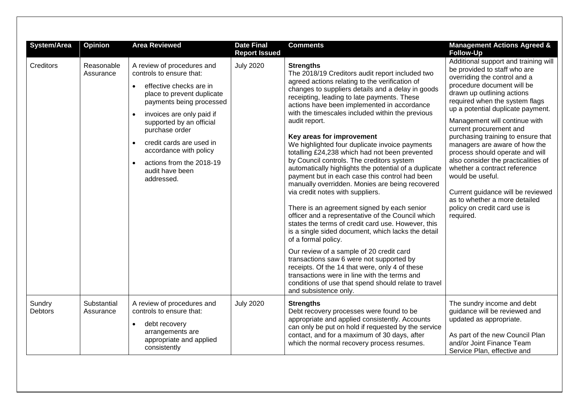| System/Area              | <b>Opinion</b>           | <b>Area Reviewed</b>                                                                                                                                                                                                                                                                                                                                   | <b>Date Final</b><br><b>Report Issued</b> | <b>Comments</b>                                                                                                                                                                                                                                                                                                                                                                                                                                                                                                                                                                                                                                                                                                                                                                                                                                                                                                                                                                                                                                                                                                                                                                                                                                 | <b>Management Actions Agreed &amp;</b><br><b>Follow-Up</b>                                                                                                                                                                                                                                                                                                                                                                                                                                                                                                                                                                  |
|--------------------------|--------------------------|--------------------------------------------------------------------------------------------------------------------------------------------------------------------------------------------------------------------------------------------------------------------------------------------------------------------------------------------------------|-------------------------------------------|-------------------------------------------------------------------------------------------------------------------------------------------------------------------------------------------------------------------------------------------------------------------------------------------------------------------------------------------------------------------------------------------------------------------------------------------------------------------------------------------------------------------------------------------------------------------------------------------------------------------------------------------------------------------------------------------------------------------------------------------------------------------------------------------------------------------------------------------------------------------------------------------------------------------------------------------------------------------------------------------------------------------------------------------------------------------------------------------------------------------------------------------------------------------------------------------------------------------------------------------------|-----------------------------------------------------------------------------------------------------------------------------------------------------------------------------------------------------------------------------------------------------------------------------------------------------------------------------------------------------------------------------------------------------------------------------------------------------------------------------------------------------------------------------------------------------------------------------------------------------------------------------|
| Creditors                | Reasonable<br>Assurance  | A review of procedures and<br>controls to ensure that:<br>effective checks are in<br>$\bullet$<br>place to prevent duplicate<br>payments being processed<br>invoices are only paid if<br>supported by an official<br>purchase order<br>credit cards are used in<br>accordance with policy<br>actions from the 2018-19<br>audit have been<br>addressed. | <b>July 2020</b>                          | <b>Strengths</b><br>The 2018/19 Creditors audit report included two<br>agreed actions relating to the verification of<br>changes to suppliers details and a delay in goods<br>receipting, leading to late payments. These<br>actions have been implemented in accordance<br>with the timescales included within the previous<br>audit report.<br>Key areas for improvement<br>We highlighted four duplicate invoice payments<br>totalling £24,238 which had not been prevented<br>by Council controls. The creditors system<br>automatically highlights the potential of a duplicate<br>payment but in each case this control had been<br>manually overridden. Monies are being recovered<br>via credit notes with suppliers.<br>There is an agreement signed by each senior<br>officer and a representative of the Council which<br>states the terms of credit card use. However, this<br>is a single sided document, which lacks the detail<br>of a formal policy.<br>Our review of a sample of 20 credit card<br>transactions saw 6 were not supported by<br>receipts. Of the 14 that were, only 4 of these<br>transactions were in line with the terms and<br>conditions of use that spend should relate to travel<br>and subsistence only. | Additional support and training will<br>be provided to staff who are<br>overriding the control and a<br>procedure document will be<br>drawn up outlining actions<br>required when the system flags<br>up a potential duplicate payment.<br>Management will continue with<br>current procurement and<br>purchasing training to ensure that<br>managers are aware of how the<br>process should operate and will<br>also consider the practicalities of<br>whether a contract reference<br>would be useful.<br>Current guidance will be reviewed<br>as to whether a more detailed<br>policy on credit card use is<br>required. |
| Sundry<br><b>Debtors</b> | Substantial<br>Assurance | A review of procedures and<br>controls to ensure that:<br>debt recovery<br>$\bullet$<br>arrangements are<br>appropriate and applied<br>consistently                                                                                                                                                                                                    | <b>July 2020</b>                          | <b>Strengths</b><br>Debt recovery processes were found to be<br>appropriate and applied consistently. Accounts<br>can only be put on hold if requested by the service<br>contact, and for a maximum of 30 days, after<br>which the normal recovery process resumes.                                                                                                                                                                                                                                                                                                                                                                                                                                                                                                                                                                                                                                                                                                                                                                                                                                                                                                                                                                             | The sundry income and debt<br>guidance will be reviewed and<br>updated as appropriate.<br>As part of the new Council Plan<br>and/or Joint Finance Team<br>Service Plan, effective and                                                                                                                                                                                                                                                                                                                                                                                                                                       |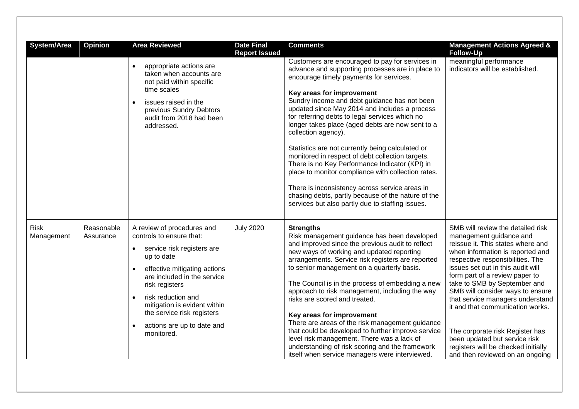| System/Area | Opinion    | <b>Area Reviewed</b><br>appropriate actions are<br>taken when accounts are<br>not paid within specific<br>time scales<br>issues raised in the<br>previous Sundry Debtors<br>audit from 2018 had been<br>addressed.                                                                                                           | <b>Date Final</b><br><b>Report Issued</b> | <b>Comments</b><br>Customers are encouraged to pay for services in<br>advance and supporting processes are in place to<br>encourage timely payments for services.<br>Key areas for improvement<br>Sundry income and debt guidance has not been<br>updated since May 2014 and includes a process<br>for referring debts to legal services which no<br>longer takes place (aged debts are now sent to a<br>collection agency).<br>Statistics are not currently being calculated or<br>monitored in respect of debt collection targets. | <b>Management Actions Agreed &amp;</b><br><b>Follow-Up</b><br>meaningful performance<br>indicators will be established.                                                                                                                                                                                                                                                                    |
|-------------|------------|------------------------------------------------------------------------------------------------------------------------------------------------------------------------------------------------------------------------------------------------------------------------------------------------------------------------------|-------------------------------------------|--------------------------------------------------------------------------------------------------------------------------------------------------------------------------------------------------------------------------------------------------------------------------------------------------------------------------------------------------------------------------------------------------------------------------------------------------------------------------------------------------------------------------------------|--------------------------------------------------------------------------------------------------------------------------------------------------------------------------------------------------------------------------------------------------------------------------------------------------------------------------------------------------------------------------------------------|
| <b>Risk</b> | Reasonable | A review of procedures and                                                                                                                                                                                                                                                                                                   | <b>July 2020</b>                          | There is no Key Performance Indicator (KPI) in<br>place to monitor compliance with collection rates.<br>There is inconsistency across service areas in<br>chasing debts, partly because of the nature of the<br>services but also partly due to staffing issues.<br><b>Strengths</b>                                                                                                                                                                                                                                                 | SMB will review the detailed risk                                                                                                                                                                                                                                                                                                                                                          |
| Management  | Assurance  | controls to ensure that:<br>service risk registers are<br>$\bullet$<br>up to date<br>effective mitigating actions<br>are included in the service<br>risk registers<br>risk reduction and<br>$\bullet$<br>mitigation is evident within<br>the service risk registers<br>actions are up to date and<br>$\bullet$<br>monitored. |                                           | Risk management guidance has been developed<br>and improved since the previous audit to reflect<br>new ways of working and updated reporting<br>arrangements. Service risk registers are reported<br>to senior management on a quarterly basis.<br>The Council is in the process of embedding a new<br>approach to risk management, including the way<br>risks are scored and treated.<br>Key areas for improvement<br>There are areas of the risk management guidance<br>that could be developed to further improve service         | management guidance and<br>reissue it. This states where and<br>when information is reported and<br>respective responsibilities. The<br>issues set out in this audit will<br>form part of a review paper to<br>take to SMB by September and<br>SMB will consider ways to ensure<br>that service managers understand<br>it and that communication works.<br>The corporate risk Register has |
|             |            |                                                                                                                                                                                                                                                                                                                              |                                           | level risk management. There was a lack of<br>understanding of risk scoring and the framework<br>itself when service managers were interviewed.                                                                                                                                                                                                                                                                                                                                                                                      | been updated but service risk<br>registers will be checked initially<br>and then reviewed on an ongoing                                                                                                                                                                                                                                                                                    |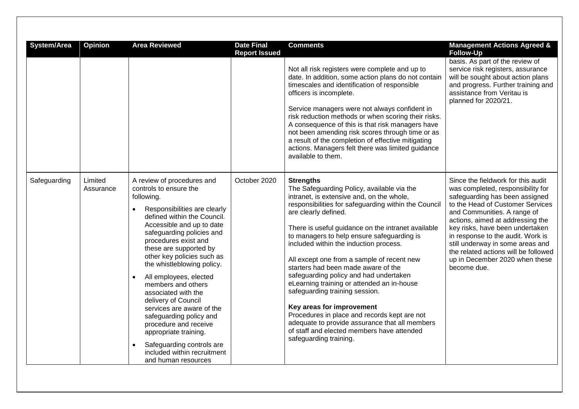| System/Area  | <b>Opinion</b>       | <b>Area Reviewed</b>                                                                                                                                                                                                                                                                                                                                                                                                                                                                                                                                                                                              | <b>Date Final</b><br><b>Report Issued</b> | <b>Comments</b><br>Not all risk registers were complete and up to<br>date. In addition, some action plans do not contain<br>timescales and identification of responsible<br>officers is incomplete.<br>Service managers were not always confident in<br>risk reduction methods or when scoring their risks.<br>A consequence of this is that risk managers have<br>not been amending risk scores through time or as<br>a result of the completion of effective mitigating<br>actions. Managers felt there was limited guidance<br>available to them.                                                                                                                                                                                                            | <b>Management Actions Agreed &amp;</b><br><b>Follow-Up</b><br>basis. As part of the review of<br>service risk registers, assurance<br>will be sought about action plans<br>and progress. Further training and<br>assistance from Veritau is<br>planned for 2020/21.                                                                                                                                                   |
|--------------|----------------------|-------------------------------------------------------------------------------------------------------------------------------------------------------------------------------------------------------------------------------------------------------------------------------------------------------------------------------------------------------------------------------------------------------------------------------------------------------------------------------------------------------------------------------------------------------------------------------------------------------------------|-------------------------------------------|-----------------------------------------------------------------------------------------------------------------------------------------------------------------------------------------------------------------------------------------------------------------------------------------------------------------------------------------------------------------------------------------------------------------------------------------------------------------------------------------------------------------------------------------------------------------------------------------------------------------------------------------------------------------------------------------------------------------------------------------------------------------|-----------------------------------------------------------------------------------------------------------------------------------------------------------------------------------------------------------------------------------------------------------------------------------------------------------------------------------------------------------------------------------------------------------------------|
| Safeguarding | Limited<br>Assurance | A review of procedures and<br>controls to ensure the<br>following.<br>Responsibilities are clearly<br>defined within the Council.<br>Accessible and up to date<br>safeguarding policies and<br>procedures exist and<br>these are supported by<br>other key policies such as<br>the whistleblowing policy.<br>All employees, elected<br>$\bullet$<br>members and others<br>associated with the<br>delivery of Council<br>services are aware of the<br>safeguarding policy and<br>procedure and receive<br>appropriate training.<br>Safeguarding controls are<br>included within recruitment<br>and human resources | October 2020                              | <b>Strengths</b><br>The Safeguarding Policy, available via the<br>intranet, is extensive and, on the whole,<br>responsibilities for safeguarding within the Council<br>are clearly defined.<br>There is useful guidance on the intranet available<br>to managers to help ensure safeguarding is<br>included within the induction process.<br>All except one from a sample of recent new<br>starters had been made aware of the<br>safeguarding policy and had undertaken<br>eLearning training or attended an in-house<br>safeguarding training session.<br>Key areas for improvement<br>Procedures in place and records kept are not<br>adequate to provide assurance that all members<br>of staff and elected members have attended<br>safeguarding training. | Since the fieldwork for this audit<br>was completed, responsibility for<br>safeguarding has been assigned<br>to the Head of Customer Services<br>and Communities. A range of<br>actions, aimed at addressing the<br>key risks, have been undertaken<br>in response to the audit. Work is<br>still underway in some areas and<br>the related actions will be followed<br>up in December 2020 when these<br>become due. |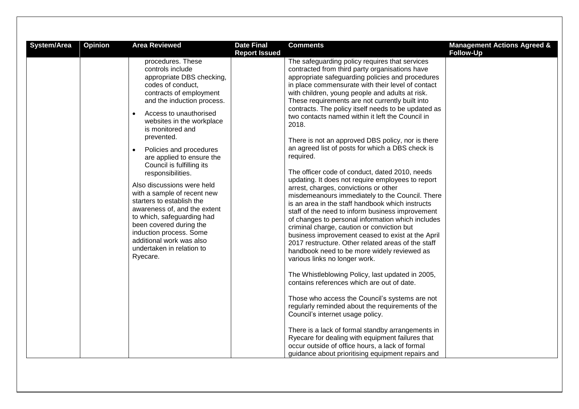| System/Area | Opinion | <b>Area Reviewed</b>                                                                                                                                                                                                                                                                                                                                                                                                                                                                                                                                                                                                                                             | <b>Date Final</b><br><b>Report Issued</b> | <b>Comments</b>                                                                                                                                                                                                                                                                                                                                                                                                                                                                                                                                                                                                                                                                                                                                                                                                                                                                                                                                                                                                                                                                                                                                                                                                                                                                                                                                                                                                                                                                                                                                                                                                                 | <b>Management Actions Agreed &amp;</b><br><b>Follow-Up</b> |
|-------------|---------|------------------------------------------------------------------------------------------------------------------------------------------------------------------------------------------------------------------------------------------------------------------------------------------------------------------------------------------------------------------------------------------------------------------------------------------------------------------------------------------------------------------------------------------------------------------------------------------------------------------------------------------------------------------|-------------------------------------------|---------------------------------------------------------------------------------------------------------------------------------------------------------------------------------------------------------------------------------------------------------------------------------------------------------------------------------------------------------------------------------------------------------------------------------------------------------------------------------------------------------------------------------------------------------------------------------------------------------------------------------------------------------------------------------------------------------------------------------------------------------------------------------------------------------------------------------------------------------------------------------------------------------------------------------------------------------------------------------------------------------------------------------------------------------------------------------------------------------------------------------------------------------------------------------------------------------------------------------------------------------------------------------------------------------------------------------------------------------------------------------------------------------------------------------------------------------------------------------------------------------------------------------------------------------------------------------------------------------------------------------|------------------------------------------------------------|
|             |         | procedures. These<br>controls include<br>appropriate DBS checking,<br>codes of conduct.<br>contracts of employment<br>and the induction process.<br>Access to unauthorised<br>$\bullet$<br>websites in the workplace<br>is monitored and<br>prevented.<br>Policies and procedures<br>$\bullet$<br>are applied to ensure the<br>Council is fulfilling its<br>responsibilities.<br>Also discussions were held<br>with a sample of recent new<br>starters to establish the<br>awareness of, and the extent<br>to which, safeguarding had<br>been covered during the<br>induction process. Some<br>additional work was also<br>undertaken in relation to<br>Ryecare. |                                           | The safeguarding policy requires that services<br>contracted from third party organisations have<br>appropriate safeguarding policies and procedures<br>in place commensurate with their level of contact<br>with children, young people and adults at risk.<br>These requirements are not currently built into<br>contracts. The policy itself needs to be updated as<br>two contacts named within it left the Council in<br>2018.<br>There is not an approved DBS policy, nor is there<br>an agreed list of posts for which a DBS check is<br>required.<br>The officer code of conduct, dated 2010, needs<br>updating. It does not require employees to report<br>arrest, charges, convictions or other<br>misdemeanours immediately to the Council. There<br>is an area in the staff handbook which instructs<br>staff of the need to inform business improvement<br>of changes to personal information which includes<br>criminal charge, caution or conviction but<br>business improvement ceased to exist at the April<br>2017 restructure. Other related areas of the staff<br>handbook need to be more widely reviewed as<br>various links no longer work.<br>The Whistleblowing Policy, last updated in 2005,<br>contains references which are out of date.<br>Those who access the Council's systems are not<br>regularly reminded about the requirements of the<br>Council's internet usage policy.<br>There is a lack of formal standby arrangements in<br>Ryecare for dealing with equipment failures that<br>occur outside of office hours, a lack of formal<br>guidance about prioritising equipment repairs and |                                                            |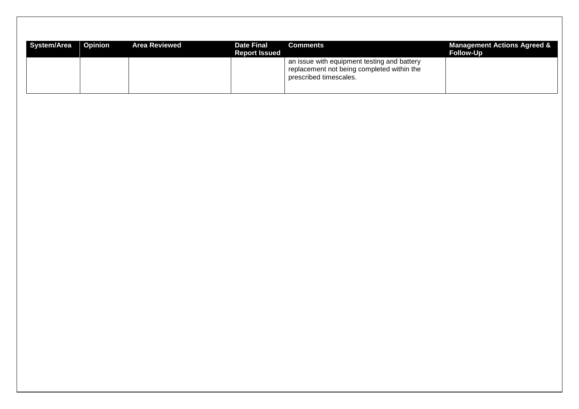| <b>System/Area</b> | <b>Opinion</b> | <b>Area Reviewed</b> | <b>Date Final</b><br><b>Report Issued</b> | <b>Comments</b>                                                                                                     | <b>Management Actions Agreed &amp;</b><br><b>Follow-Up</b> |
|--------------------|----------------|----------------------|-------------------------------------------|---------------------------------------------------------------------------------------------------------------------|------------------------------------------------------------|
|                    |                |                      |                                           | an issue with equipment testing and battery<br>replacement not being completed within the<br>prescribed timescales. |                                                            |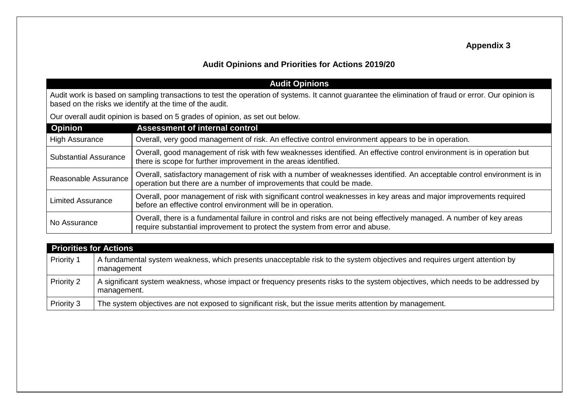## **Appendix 3**

## **Audit Opinions and Priorities for Actions 2019/20**

|                                                                                                                                                                                                                  | <b>Audit Opinions</b>                                                                                                                                                                                |  |  |
|------------------------------------------------------------------------------------------------------------------------------------------------------------------------------------------------------------------|------------------------------------------------------------------------------------------------------------------------------------------------------------------------------------------------------|--|--|
| Audit work is based on sampling transactions to test the operation of systems. It cannot guarantee the elimination of fraud or error. Our opinion is<br>based on the risks we identify at the time of the audit. |                                                                                                                                                                                                      |  |  |
|                                                                                                                                                                                                                  | Our overall audit opinion is based on 5 grades of opinion, as set out below.                                                                                                                         |  |  |
| <b>Opinion</b>                                                                                                                                                                                                   | <b>Assessment of internal control</b>                                                                                                                                                                |  |  |
| <b>High Assurance</b>                                                                                                                                                                                            | Overall, very good management of risk. An effective control environment appears to be in operation.                                                                                                  |  |  |
| <b>Substantial Assurance</b>                                                                                                                                                                                     | Overall, good management of risk with few weaknesses identified. An effective control environment is in operation but<br>there is scope for further improvement in the areas identified.             |  |  |
| Reasonable Assurance                                                                                                                                                                                             | Overall, satisfactory management of risk with a number of weaknesses identified. An acceptable control environment is in<br>operation but there are a number of improvements that could be made.     |  |  |
| Limited Assurance                                                                                                                                                                                                | Overall, poor management of risk with significant control weaknesses in key areas and major improvements required<br>before an effective control environment will be in operation.                   |  |  |
| No Assurance                                                                                                                                                                                                     | Overall, there is a fundamental failure in control and risks are not being effectively managed. A number of key areas<br>require substantial improvement to protect the system from error and abuse. |  |  |
|                                                                                                                                                                                                                  |                                                                                                                                                                                                      |  |  |

|                   | <b>Priorities for Actions</b>                                                                                                                   |  |  |  |  |  |  |
|-------------------|-------------------------------------------------------------------------------------------------------------------------------------------------|--|--|--|--|--|--|
| <b>Priority 1</b> | A fundamental system weakness, which presents unacceptable risk to the system objectives and requires urgent attention by<br>management         |  |  |  |  |  |  |
| <b>Priority 2</b> | A significant system weakness, whose impact or frequency presents risks to the system objectives, which needs to be addressed by<br>management. |  |  |  |  |  |  |
| Priority 3        | The system objectives are not exposed to significant risk, but the issue merits attention by management.                                        |  |  |  |  |  |  |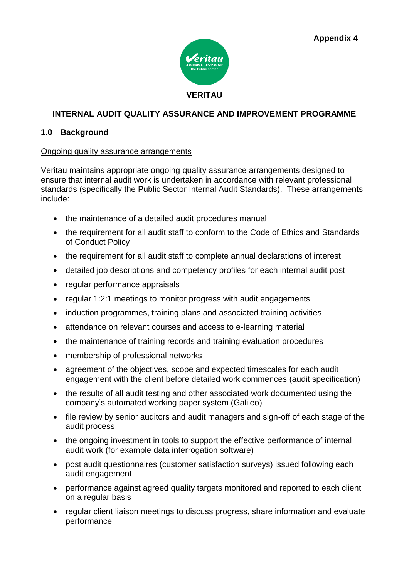**Appendix 4**



#### **INTERNAL AUDIT QUALITY ASSURANCE AND IMPROVEMENT PROGRAMME**

#### **1.0 Background**

#### Ongoing quality assurance arrangements

Veritau maintains appropriate ongoing quality assurance arrangements designed to ensure that internal audit work is undertaken in accordance with relevant professional standards (specifically the Public Sector Internal Audit Standards). These arrangements include:

- the maintenance of a detailed audit procedures manual
- the requirement for all audit staff to conform to the Code of Ethics and Standards of Conduct Policy
- the requirement for all audit staff to complete annual declarations of interest
- detailed job descriptions and competency profiles for each internal audit post
- regular performance appraisals
- regular 1:2:1 meetings to monitor progress with audit engagements
- induction programmes, training plans and associated training activities
- attendance on relevant courses and access to e-learning material
- the maintenance of training records and training evaluation procedures
- membership of professional networks
- agreement of the objectives, scope and expected timescales for each audit engagement with the client before detailed work commences (audit specification)
- the results of all audit testing and other associated work documented using the company's automated working paper system (Galileo)
- file review by senior auditors and audit managers and sign-off of each stage of the audit process
- the ongoing investment in tools to support the effective performance of internal audit work (for example data interrogation software)
- post audit questionnaires (customer satisfaction surveys) issued following each audit engagement
- performance against agreed quality targets monitored and reported to each client on a regular basis
- regular client liaison meetings to discuss progress, share information and evaluate performance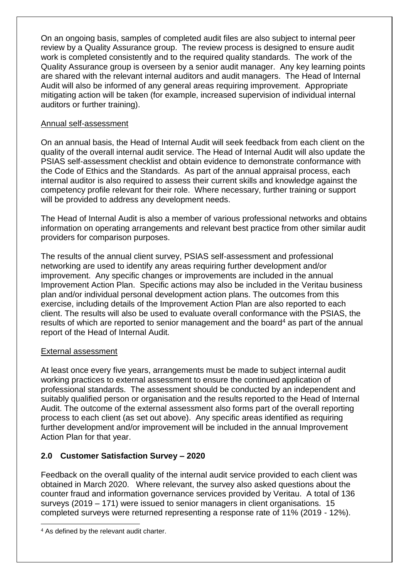On an ongoing basis, samples of completed audit files are also subject to internal peer review by a Quality Assurance group. The review process is designed to ensure audit work is completed consistently and to the required quality standards. The work of the Quality Assurance group is overseen by a senior audit manager. Any key learning points are shared with the relevant internal auditors and audit managers. The Head of Internal Audit will also be informed of any general areas requiring improvement. Appropriate mitigating action will be taken (for example, increased supervision of individual internal auditors or further training).

#### Annual self-assessment

On an annual basis, the Head of Internal Audit will seek feedback from each client on the quality of the overall internal audit service. The Head of Internal Audit will also update the PSIAS self-assessment checklist and obtain evidence to demonstrate conformance with the Code of Ethics and the Standards. As part of the annual appraisal process, each internal auditor is also required to assess their current skills and knowledge against the competency profile relevant for their role. Where necessary, further training or support will be provided to address any development needs.

The Head of Internal Audit is also a member of various professional networks and obtains information on operating arrangements and relevant best practice from other similar audit providers for comparison purposes.

The results of the annual client survey, PSIAS self-assessment and professional networking are used to identify any areas requiring further development and/or improvement. Any specific changes or improvements are included in the annual Improvement Action Plan. Specific actions may also be included in the Veritau business plan and/or individual personal development action plans. The outcomes from this exercise, including details of the Improvement Action Plan are also reported to each client. The results will also be used to evaluate overall conformance with the PSIAS, the results of which are reported to senior management and the board<sup>4</sup> as part of the annual report of the Head of Internal Audit.

#### External assessment

At least once every five years, arrangements must be made to subject internal audit working practices to external assessment to ensure the continued application of professional standards. The assessment should be conducted by an independent and suitably qualified person or organisation and the results reported to the Head of Internal Audit. The outcome of the external assessment also forms part of the overall reporting process to each client (as set out above). Any specific areas identified as requiring further development and/or improvement will be included in the annual Improvement Action Plan for that year.

#### **2.0 Customer Satisfaction Survey – 2020**

Feedback on the overall quality of the internal audit service provided to each client was obtained in March 2020. Where relevant, the survey also asked questions about the counter fraud and information governance services provided by Veritau. A total of 136 surveys (2019 – 171) were issued to senior managers in client organisations. 15 completed surveys were returned representing a response rate of 11% (2019 - 12%).

 $\overline{a}$ 

<sup>4</sup> As defined by the relevant audit charter.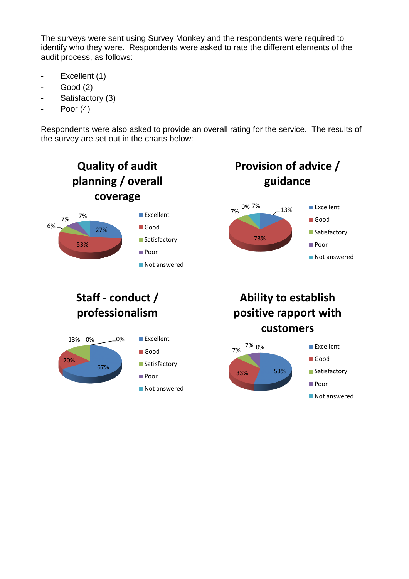The surveys were sent using Survey Monkey and the respondents were required to identify who they were. Respondents were asked to rate the different elements of the audit process, as follows:

- Excellent (1)
- Good (2)
- Satisfactory (3)
- Poor (4)

Respondents were also asked to provide an overall rating for the service. The results of the survey are set out in the charts below:

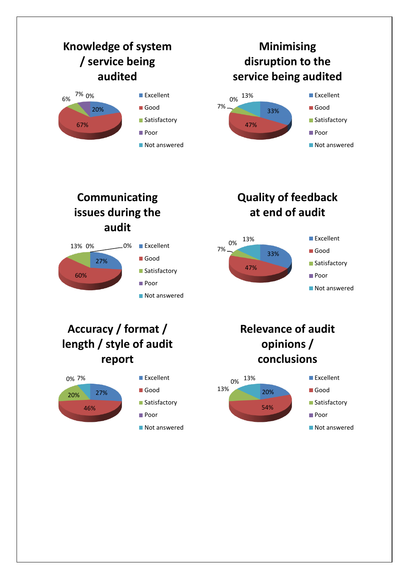

**issues during the audit**



# **at end of audit**



## **Accuracy / format / length / style of audit report**



## **Relevance of audit opinions / conclusions**

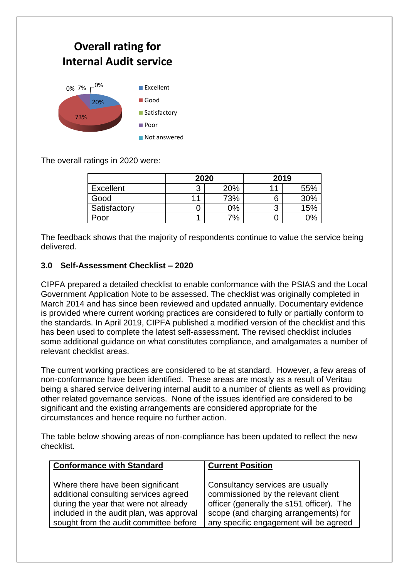

The overall ratings in 2020 were:

|                  | 2020 |     | 2019   |     |
|------------------|------|-----|--------|-----|
| <b>Excellent</b> | ◠    | 20% | л      | 55% |
| Good             | 11   | 73% | 6      | 30% |
| Satisfactory     |      | 0%  | າ<br>J | 15% |
| Poor             |      | 7%  |        | 2%  |

The feedback shows that the majority of respondents continue to value the service being delivered.

#### **3.0 Self-Assessment Checklist – 2020**

CIPFA prepared a detailed checklist to enable conformance with the PSIAS and the Local Government Application Note to be assessed. The checklist was originally completed in March 2014 and has since been reviewed and updated annually. Documentary evidence is provided where current working practices are considered to fully or partially conform to the standards. In April 2019, CIPFA published a modified version of the checklist and this has been used to complete the latest self-assessment. The revised checklist includes some additional guidance on what constitutes compliance, and amalgamates a number of relevant checklist areas.

The current working practices are considered to be at standard. However, a few areas of non-conformance have been identified. These areas are mostly as a result of Veritau being a shared service delivering internal audit to a number of clients as well as providing other related governance services. None of the issues identified are considered to be significant and the existing arrangements are considered appropriate for the circumstances and hence require no further action.

The table below showing areas of non-compliance has been updated to reflect the new checklist.

| <b>Conformance with Standard</b>         | <b>Current Position</b>                   |
|------------------------------------------|-------------------------------------------|
| Where there have been significant        | Consultancy services are usually          |
| additional consulting services agreed    | commissioned by the relevant client       |
| during the year that were not already    | officer (generally the s151 officer). The |
| included in the audit plan, was approval | scope (and charging arrangements) for     |
| sought from the audit committee before   | any specific engagement will be agreed    |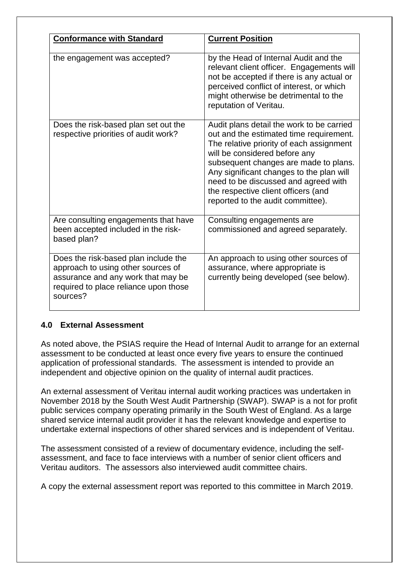| <b>Conformance with Standard</b>                                                                                                                                      | <b>Current Position</b>                                                                                                                                                                                                                                                                                                                                                    |
|-----------------------------------------------------------------------------------------------------------------------------------------------------------------------|----------------------------------------------------------------------------------------------------------------------------------------------------------------------------------------------------------------------------------------------------------------------------------------------------------------------------------------------------------------------------|
|                                                                                                                                                                       |                                                                                                                                                                                                                                                                                                                                                                            |
| the engagement was accepted?                                                                                                                                          | by the Head of Internal Audit and the<br>relevant client officer. Engagements will<br>not be accepted if there is any actual or<br>perceived conflict of interest, or which<br>might otherwise be detrimental to the<br>reputation of Veritau.                                                                                                                             |
| Does the risk-based plan set out the<br>respective priorities of audit work?                                                                                          | Audit plans detail the work to be carried<br>out and the estimated time requirement.<br>The relative priority of each assignment<br>will be considered before any<br>subsequent changes are made to plans.<br>Any significant changes to the plan will<br>need to be discussed and agreed with<br>the respective client officers (and<br>reported to the audit committee). |
| Are consulting engagements that have<br>been accepted included in the risk-<br>based plan?                                                                            | Consulting engagements are<br>commissioned and agreed separately.                                                                                                                                                                                                                                                                                                          |
| Does the risk-based plan include the<br>approach to using other sources of<br>assurance and any work that may be<br>required to place reliance upon those<br>sources? | An approach to using other sources of<br>assurance, where appropriate is<br>currently being developed (see below).                                                                                                                                                                                                                                                         |

#### **4.0 External Assessment**

As noted above, the PSIAS require the Head of Internal Audit to arrange for an external assessment to be conducted at least once every five years to ensure the continued application of professional standards. The assessment is intended to provide an independent and objective opinion on the quality of internal audit practices.

An external assessment of Veritau internal audit working practices was undertaken in November 2018 by the South West Audit Partnership (SWAP). SWAP is a not for profit public services company operating primarily in the South West of England. As a large shared service internal audit provider it has the relevant knowledge and expertise to undertake external inspections of other shared services and is independent of Veritau.

The assessment consisted of a review of documentary evidence, including the selfassessment, and face to face interviews with a number of senior client officers and Veritau auditors. The assessors also interviewed audit committee chairs.

A copy the external assessment report was reported to this committee in March 2019.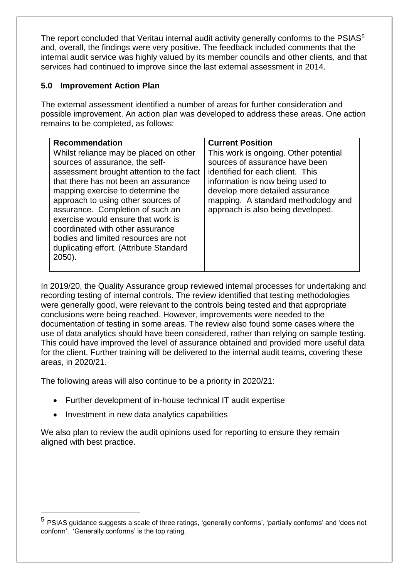The report concluded that Veritau internal audit activity generally conforms to the PSIAS<sup>5</sup> and, overall, the findings were very positive. The feedback included comments that the internal audit service was highly valued by its member councils and other clients, and that services had continued to improve since the last external assessment in 2014.

#### **5.0 Improvement Action Plan**

The external assessment identified a number of areas for further consideration and possible improvement. An action plan was developed to address these areas. One action remains to be completed, as follows:

| <b>Recommendation</b>                                                                                                                                                                                                                                                                                                                                                                                                                               | <b>Current Position</b>                                                                                                                                                                                                                                        |
|-----------------------------------------------------------------------------------------------------------------------------------------------------------------------------------------------------------------------------------------------------------------------------------------------------------------------------------------------------------------------------------------------------------------------------------------------------|----------------------------------------------------------------------------------------------------------------------------------------------------------------------------------------------------------------------------------------------------------------|
| Whilst reliance may be placed on other<br>sources of assurance, the self-<br>assessment brought attention to the fact<br>that there has not been an assurance<br>mapping exercise to determine the<br>approach to using other sources of<br>assurance. Completion of such an<br>exercise would ensure that work is<br>coordinated with other assurance<br>bodies and limited resources are not<br>duplicating effort. (Attribute Standard<br>2050). | This work is ongoing. Other potential<br>sources of assurance have been<br>identified for each client. This<br>information is now being used to<br>develop more detailed assurance<br>mapping. A standard methodology and<br>approach is also being developed. |

In 2019/20, the Quality Assurance group reviewed internal processes for undertaking and recording testing of internal controls. The review identified that testing methodologies were generally good, were relevant to the controls being tested and that appropriate conclusions were being reached. However, improvements were needed to the documentation of testing in some areas. The review also found some cases where the use of data analytics should have been considered, rather than relying on sample testing. This could have improved the level of assurance obtained and provided more useful data for the client. Further training will be delivered to the internal audit teams, covering these areas, in 2020/21.

The following areas will also continue to be a priority in 2020/21:

- Further development of in-house technical IT audit expertise
- Investment in new data analytics capabilities

 $\overline{a}$ 

We also plan to review the audit opinions used for reporting to ensure they remain aligned with best practice.

<sup>&</sup>lt;sup>5</sup> PSIAS guidance suggests a scale of three ratings, 'generally conforms', 'partially conforms' and 'does not conform'. 'Generally conforms' is the top rating.